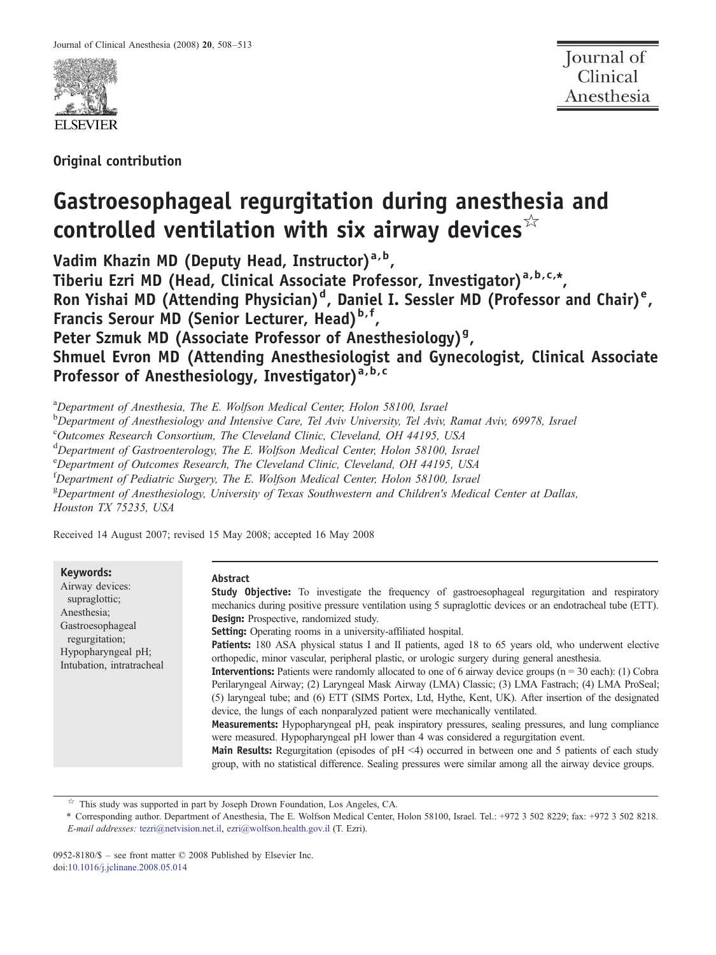

Original contribution

# Gastroesophageal regurgitation during anesthesia and controlled ventilation with six airway devices $\sqrt[k]{x}$

Vadim Khazin MD (Deputy Head, Instructor) $a, b$ , Tiberiu Ezri MD (Head, Clinical Associate Professor, Investigator)<sup>a, b, c,\*</sup>, Ron Yishai MD (Attending Physician)<sup>d</sup>, Daniel I. Sessler MD (Professor and Chair)<sup>e</sup>, Francis Serour MD (Senior Lecturer, Head)<sup>b,f</sup>, Peter Szmuk MD (Associate Professor of Anesthesiology)<sup>9</sup>, Shmuel Evron MD (Attending Anesthesiologist and Gynecologist, Clinical Associate Professor of Anesthesiology, Investigator)<sup>a,b,c</sup>

<sup>a</sup>Department of Anesthesia, The E. Wolfson Medical Center, Holon 58100, Israel

<sup>b</sup>Department of Anesthesiology and Intensive Care, Tel Aviv University, Tel Aviv, Ramat Aviv, 69978, Israel

c Outcomes Research Consortium, The Cleveland Clinic, Cleveland, OH 44195, USA

<sup>d</sup>Department of Gastroenterology, The E. Wolfson Medical Center, Holon 58100, Israel

<sup>e</sup> Department of Outcomes Research, The Cleveland Clinic, Cleveland, OH 44195, USA

<sup>f</sup>Department of Pediatric Surgery, The E. Wolfson Medical Center, Holon 58100, Israel

<sup>g</sup>Department of Anesthesiology, University of Texas Southwestern and Children's Medical Center at Dallas, Houston TX 75235, USA

Received 14 August 2007; revised 15 May 2008; accepted 16 May 2008

Keywords:

Airway devices: supraglottic; Anesthesia; Gastroesophageal regurgitation; Hypopharyngeal pH; Intubation, intratracheal

#### Abstract

**Study Objective:** To investigate the frequency of gastroesophageal regurgitation and respiratory mechanics during positive pressure ventilation using 5 supraglottic devices or an endotracheal tube (ETT). Design: Prospective, randomized study.

Setting: Operating rooms in a university-affiliated hospital.

**Patients:** 180 ASA physical status I and II patients, aged 18 to 65 years old, who underwent elective orthopedic, minor vascular, peripheral plastic, or urologic surgery during general anesthesia.

**Interventions:** Patients were randomly allocated to one of 6 airway device groups ( $n = 30$  each): (1) Cobra Perilaryngeal Airway; (2) Laryngeal Mask Airway (LMA) Classic; (3) LMA Fastrach; (4) LMA ProSeal; (5) laryngeal tube; and (6) ETT (SIMS Portex, Ltd, Hythe, Kent, UK). After insertion of the designated device, the lungs of each nonparalyzed patient were mechanically ventilated.

Measurements: Hypopharyngeal pH, peak inspiratory pressures, sealing pressures, and lung compliance were measured. Hypopharyngeal pH lower than 4 was considered a regurgitation event.

Main Results: Regurgitation (episodes of  $pH \le 4$ ) occurred in between one and 5 patients of each study group, with no statistical difference. Sealing pressures were similar among all the airway device groups.

 $\overrightarrow{r}$  This study was supported in part by Joseph Drown Foundation, Los Angeles, CA.

⁎ Corresponding author. Department of Anesthesia, The E. Wolfson Medical Center, Holon 58100, Israel. Tel.: +972 3 502 8229; fax: +972 3 502 8218. E-mail addresses: [tezri@netvision.net.il,](mailto:tezri@netvision.net.il) [ezri@wolfson.health.gov.il](mailto:ezri@wolfson.health.gov.il) (T. Ezri).

0952-8180/\$ – see front matter © 2008 Published by Elsevier Inc. doi[:10.1016/j.jclinane.2008.05.014](http://dx.doi.org/10.1016/j.jclinane.2008.05.014)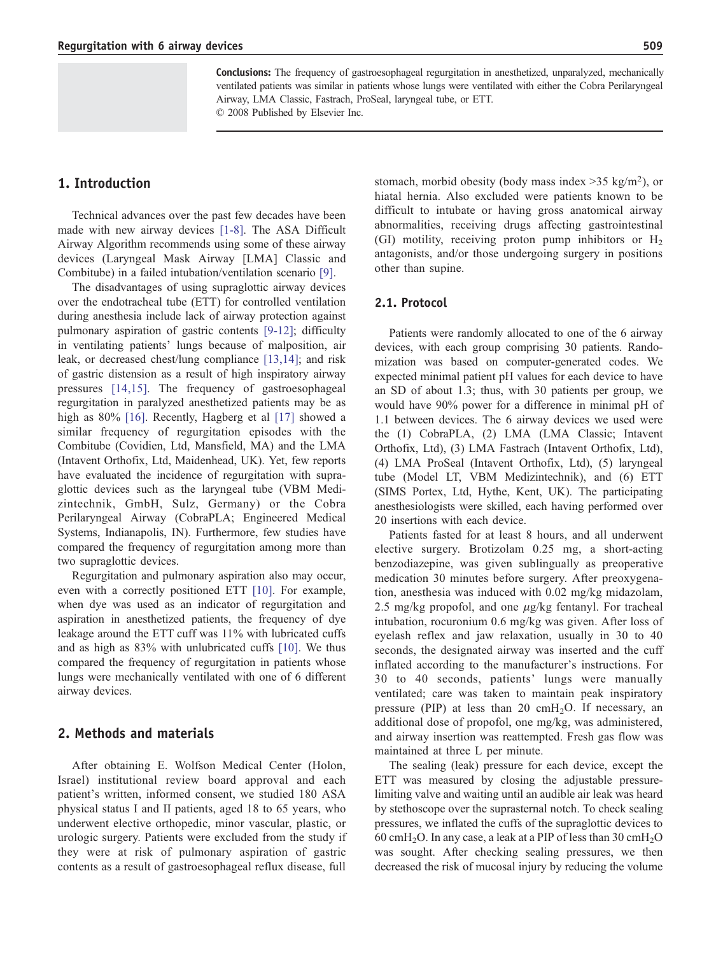Conclusions: The frequency of gastroesophageal regurgitation in anesthetized, unparalyzed, mechanically ventilated patients was similar in patients whose lungs were ventilated with either the Cobra Perilaryngeal Airway, LMA Classic, Fastrach, ProSeal, laryngeal tube, or ETT. © 2008 Published by Elsevier Inc.

Technical advances over the past few decades have been made with new airway devices [\[1-8\].](#page-4-0) The ASA Difficult Airway Algorithm recommends using some of these airway devices (Laryngeal Mask Airway [LMA] Classic and Combitube) in a failed intubation/ventilation scenario [\[9\]](#page-5-0).

The disadvantages of using supraglottic airway devices over the endotracheal tube (ETT) for controlled ventilation during anesthesia include lack of airway protection against pulmonary aspiration of gastric contents [\[9-12\]](#page-5-0); difficulty in ventilating patients' lungs because of malposition, air leak, or decreased chest/lung compliance [\[13,14\];](#page-5-0) and risk of gastric distension as a result of high inspiratory airway pressures [\[14,15\]](#page-5-0). The frequency of gastroesophageal regurgitation in paralyzed anesthetized patients may be as high as 80% [\[16\]](#page-5-0). Recently, Hagberg et al [\[17\]](#page-5-0) showed a similar frequency of regurgitation episodes with the Combitube (Covidien, Ltd, Mansfield, MA) and the LMA (Intavent Orthofix, Ltd, Maidenhead, UK). Yet, few reports have evaluated the incidence of regurgitation with supraglottic devices such as the laryngeal tube (VBM Medizintechnik, GmbH, Sulz, Germany) or the Cobra Perilaryngeal Airway (CobraPLA; Engineered Medical Systems, Indianapolis, IN). Furthermore, few studies have compared the frequency of regurgitation among more than two supraglottic devices.

Regurgitation and pulmonary aspiration also may occur, even with a correctly positioned ETT [\[10\].](#page-5-0) For example, when dye was used as an indicator of regurgitation and aspiration in anesthetized patients, the frequency of dye leakage around the ETT cuff was 11% with lubricated cuffs and as high as 83% with unlubricated cuffs [\[10\]](#page-5-0). We thus compared the frequency of regurgitation in patients whose lungs were mechanically ventilated with one of 6 different airway devices.

## 2. Methods and materials

After obtaining E. Wolfson Medical Center (Holon, Israel) institutional review board approval and each patient's written, informed consent, we studied 180 ASA physical status I and II patients, aged 18 to 65 years, who underwent elective orthopedic, minor vascular, plastic, or urologic surgery. Patients were excluded from the study if they were at risk of pulmonary aspiration of gastric contents as a result of gastroesophageal reflux disease, full

stomach, morbid obesity (body mass index  $>35$  kg/m<sup>2</sup>), or hiatal hernia. Also excluded were patients known to be difficult to intubate or having gross anatomical airway abnormalities, receiving drugs affecting gastrointestinal (GI) motility, receiving proton pump inhibitors or  $H_2$ antagonists, and/or those undergoing surgery in positions other than supine.

#### 2.1. Protocol

Patients were randomly allocated to one of the 6 airway devices, with each group comprising 30 patients. Randomization was based on computer-generated codes. We expected minimal patient pH values for each device to have an SD of about 1.3; thus, with 30 patients per group, we would have 90% power for a difference in minimal pH of 1.1 between devices. The 6 airway devices we used were the (1) CobraPLA, (2) LMA (LMA Classic; Intavent Orthofix, Ltd), (3) LMA Fastrach (Intavent Orthofix, Ltd), (4) LMA ProSeal (Intavent Orthofix, Ltd), (5) laryngeal tube (Model LT, VBM Medizintechnik), and (6) ETT (SIMS Portex, Ltd, Hythe, Kent, UK). The participating anesthesiologists were skilled, each having performed over 20 insertions with each device.

Patients fasted for at least 8 hours, and all underwent elective surgery. Brotizolam 0.25 mg, a short-acting benzodiazepine, was given sublingually as preoperative medication 30 minutes before surgery. After preoxygenation, anesthesia was induced with 0.02 mg/kg midazolam, 2.5 mg/kg propofol, and one  $\mu$ g/kg fentanyl. For tracheal intubation, rocuronium 0.6 mg/kg was given. After loss of eyelash reflex and jaw relaxation, usually in 30 to 40 seconds, the designated airway was inserted and the cuff inflated according to the manufacturer's instructions. For 30 to 40 seconds, patients' lungs were manually ventilated; care was taken to maintain peak inspiratory pressure (PIP) at less than 20  $\text{cm}H_2\text{O}$ . If necessary, an additional dose of propofol, one mg/kg, was administered, and airway insertion was reattempted. Fresh gas flow was maintained at three L per minute.

The sealing (leak) pressure for each device, except the ETT was measured by closing the adjustable pressurelimiting valve and waiting until an audible air leak was heard by stethoscope over the suprasternal notch. To check sealing pressures, we inflated the cuffs of the supraglottic devices to 60 cmH<sub>2</sub>O. In any case, a leak at a PIP of less than 30 cmH<sub>2</sub>O was sought. After checking sealing pressures, we then decreased the risk of mucosal injury by reducing the volume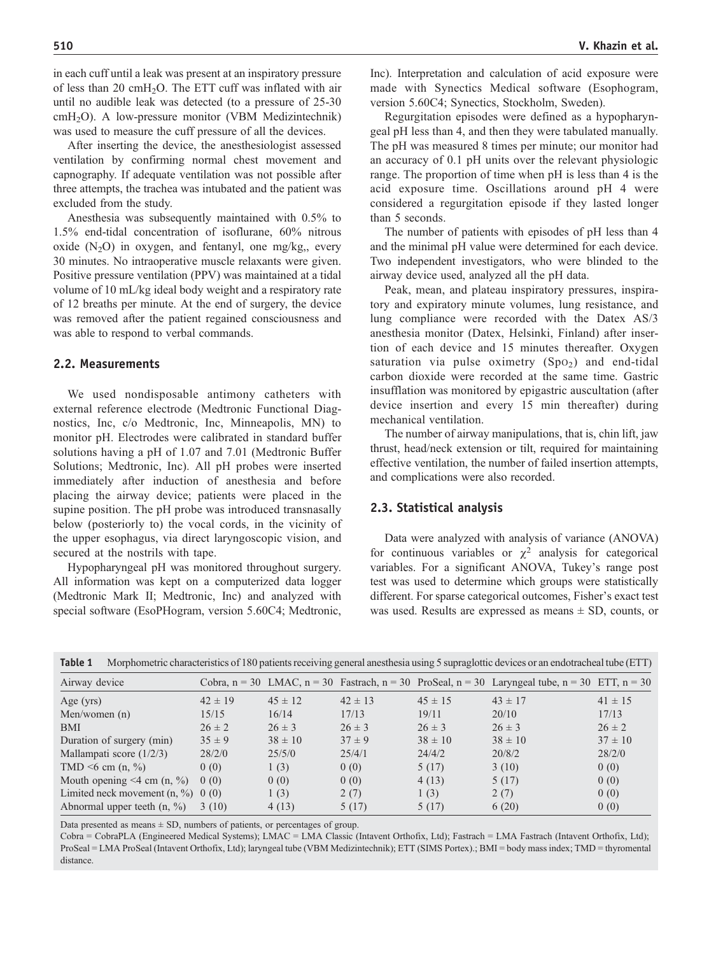in each cuff until a leak was present at an inspiratory pressure of less than 20 cmH<sub>2</sub>O. The ETT cuff was inflated with air until no audible leak was detected (to a pressure of 25-30 cmH2O). A low-pressure monitor (VBM Medizintechnik) was used to measure the cuff pressure of all the devices.

After inserting the device, the anesthesiologist assessed ventilation by confirming normal chest movement and capnography. If adequate ventilation was not possible after three attempts, the trachea was intubated and the patient was excluded from the study.

Anesthesia was subsequently maintained with 0.5% to 1.5% end-tidal concentration of isoflurane, 60% nitrous oxide  $(N_2O)$  in oxygen, and fentanyl, one mg/kg,, every 30 minutes. No intraoperative muscle relaxants were given. Positive pressure ventilation (PPV) was maintained at a tidal volume of 10 mL/kg ideal body weight and a respiratory rate of 12 breaths per minute. At the end of surgery, the device was removed after the patient regained consciousness and was able to respond to verbal commands.

## 2.2. Measurements

We used nondisposable antimony catheters with external reference electrode (Medtronic Functional Diagnostics, Inc, c/o Medtronic, Inc, Minneapolis, MN) to monitor pH. Electrodes were calibrated in standard buffer solutions having a pH of 1.07 and 7.01 (Medtronic Buffer Solutions; Medtronic, Inc). All pH probes were inserted immediately after induction of anesthesia and before placing the airway device; patients were placed in the supine position. The pH probe was introduced transnasally below (posteriorly to) the vocal cords, in the vicinity of the upper esophagus, via direct laryngoscopic vision, and secured at the nostrils with tape.

Hypopharyngeal pH was monitored throughout surgery. All information was kept on a computerized data logger (Medtronic Mark II; Medtronic, Inc) and analyzed with special software (EsoPHogram, version 5.60C4; Medtronic, Inc). Interpretation and calculation of acid exposure were made with Synectics Medical software (Esophogram, version 5.60C4; Synectics, Stockholm, Sweden).

Regurgitation episodes were defined as a hypopharyngeal pH less than 4, and then they were tabulated manually. The pH was measured 8 times per minute; our monitor had an accuracy of 0.1 pH units over the relevant physiologic range. The proportion of time when pH is less than 4 is the acid exposure time. Oscillations around pH 4 were considered a regurgitation episode if they lasted longer than 5 seconds.

The number of patients with episodes of pH less than 4 and the minimal pH value were determined for each device. Two independent investigators, who were blinded to the airway device used, analyzed all the pH data.

Peak, mean, and plateau inspiratory pressures, inspiratory and expiratory minute volumes, lung resistance, and lung compliance were recorded with the Datex AS/3 anesthesia monitor (Datex, Helsinki, Finland) after insertion of each device and 15 minutes thereafter. Oxygen saturation via pulse oximetry  $(Spo<sub>2</sub>)$  and end-tidal carbon dioxide were recorded at the same time. Gastric insufflation was monitored by epigastric auscultation (after device insertion and every 15 min thereafter) during mechanical ventilation.

The number of airway manipulations, that is, chin lift, jaw thrust, head/neck extension or tilt, required for maintaining effective ventilation, the number of failed insertion attempts, and complications were also recorded.

#### 2.3. Statistical analysis

Data were analyzed with analysis of variance (ANOVA) for continuous variables or  $\chi^2$  analysis for categorical variables. For a significant ANOVA, Tukey's range post test was used to determine which groups were statistically different. For sparse categorical outcomes, Fisher's exact test was used. Results are expressed as means  $\pm$  SD, counts, or

```
Table 1 Morphometric characteristics of 180 patients receiving general anesthesia using 5 supraglottic devices or an endotracheal tube (ETT)
```

| Airway device                        |             |             |             |             | Cobra, $n = 30$ LMAC, $n = 30$ Fastrach, $n = 30$ ProSeal, $n = 30$ Laryngeal tube, $n = 30$ ETT, $n = 30$ |             |
|--------------------------------------|-------------|-------------|-------------|-------------|------------------------------------------------------------------------------------------------------------|-------------|
| Age $(yrs)$                          | $42 \pm 19$ | $45 \pm 12$ | $42 \pm 13$ | $45 \pm 15$ | $43 \pm 17$                                                                                                | $41 \pm 15$ |
| Men/women $(n)$                      | 15/15       | 16/14       | 17/13       | 19/11       | 20/10                                                                                                      | 17/13       |
| <b>BMI</b>                           | $26 \pm 2$  | $26 \pm 3$  | $26 \pm 3$  | $26 \pm 3$  | $26 \pm 3$                                                                                                 | $26 \pm 2$  |
| Duration of surgery (min)            | $35 \pm 9$  | $38 \pm 10$ | $37 \pm 9$  | $38 \pm 10$ | $38 \pm 10$                                                                                                | $37 \pm 10$ |
| Mallampati score $(1/2/3)$           | 28/2/0      | 25/5/0      | 25/4/1      | 24/4/2      | 20/8/2                                                                                                     | 28/2/0      |
| TMD $\leq 6$ cm (n, $\%$ )           | 0(0)        | 1(3)        | 0(0)        | 5(17)       | 3(10)                                                                                                      | 0(0)        |
| Mouth opening $\leq 4$ cm (n, $\%$ ) | 0(0)        | 0(0)        | 0(0)        | 4(13)       | 5(17)                                                                                                      | 0(0)        |
| Limited neck movement $(n, %)$ 0 (0) |             | 1(3)        | 2(7)        | 1(3)        | 2(7)                                                                                                       | 0(0)        |
| Abnormal upper teeth $(n, %)$        | 3(10)       | 4(13)       | 5(17)       | 5(17)       | 6(20)                                                                                                      | 0(0)        |

Data presented as means  $\pm$  SD, numbers of patients, or percentages of group.

<span id="page-2-0"></span>Cobra = CobraPLA (Engineered Medical Systems); LMAC = LMA Classic (Intavent Orthofix, Ltd); Fastrach = LMA Fastrach (Intavent Orthofix, Ltd); ProSeal = LMA ProSeal (Intavent Orthofix, Ltd); laryngeal tube (VBM Medizintechnik); ETT (SIMS Portex).; BMI = body mass index; TMD = thyromental distance.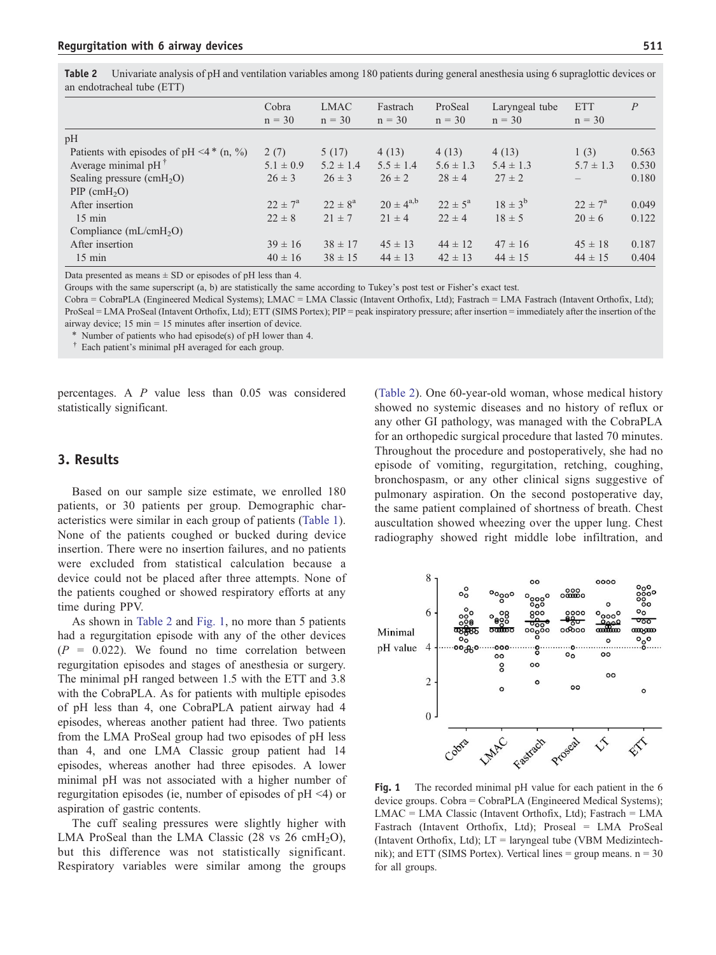Table 2 Univariate analysis of pH and ventilation variables among 180 patients during general anesthesia using 6 supraglottic devices or an endotracheal tube (ETT)

|                                                  | Cobra<br>$n = 30$  | <b>LMAC</b><br>$n = 30$ | Fastrach<br>$n = 30$ | ProSeal<br>$n = 30$ | Laryngeal tube<br>$n = 30$ | ETT<br>$n = 30$    | P     |
|--------------------------------------------------|--------------------|-------------------------|----------------------|---------------------|----------------------------|--------------------|-------|
| pH                                               |                    |                         |                      |                     |                            |                    |       |
| Patients with episodes of pH $\leq$ 4 $*$ (n, %) | 2(7)               | 5(17)                   | 4(13)                | 4(13)               | 4(13)                      | 1(3)               | 0.563 |
| Average minimal $pH^{\dagger}$                   | $5.1 \pm 0.9$      | $5.2 \pm 1.4$           | $5.5 \pm 1.4$        | $5.6 \pm 1.3$       | $5.4 \pm 1.3$              | $5.7 \pm 1.3$      | 0.530 |
| Sealing pressure (cmH <sub>2</sub> O)            | $26 \pm 3$         | $26 \pm 3$              | $26 \pm 2$           | $28 \pm 4$          | $27 \pm 2$                 |                    | 0.180 |
| $PIP$ (cmH <sub>2</sub> O)                       |                    |                         |                      |                     |                            |                    |       |
| After insertion                                  | $22 \pm 7^{\rm a}$ | $22 \pm 8^a$            | $20 \pm 4^{a,b}$     | $22 \pm 5^{\circ}$  | $18 \pm 3^{6}$             | $22 \pm 7^{\circ}$ | 0.049 |
| $15 \text{ min}$                                 | $22 \pm 8$         | $21 \pm 7$              | $21 \pm 4$           | $22 \pm 4$          | $18 \pm 5$                 | $20 \pm 6$         | 0.122 |
| Compliance $(mL/cmH2O)$                          |                    |                         |                      |                     |                            |                    |       |
| After insertion                                  | $39 \pm 16$        | $38 \pm 17$             | $45 \pm 13$          | $44 \pm 12$         | $47 \pm 16$                | $45 \pm 18$        | 0.187 |
| $15 \text{ min}$                                 | $40 \pm 16$        | $38 \pm 15$             | $44 \pm 13$          | $42 \pm 13$         | $44 \pm 15$                | $44 \pm 15$        | 0.404 |

Data presented as means  $\pm$  SD or episodes of pH less than 4.

Groups with the same superscript (a, b) are statistically the same according to Tukey's post test or Fisher's exact test.

Cobra = CobraPLA (Engineered Medical Systems); LMAC = LMA Classic (Intavent Orthofix, Ltd); Fastrach = LMA Fastrach (Intavent Orthofix, Ltd); ProSeal = LMA ProSeal (Intavent Orthofix, Ltd); ETT (SIMS Portex); PIP = peak inspiratory pressure; after insertion = immediately after the insertion of the airway device; 15 min = 15 minutes after insertion of device.

⁎ Number of patients who had episode(s) of pH lower than 4.

† Each patient's minimal pH averaged for each group.

percentages. A P value less than 0.05 was considered statistically significant.

## 3. Results

Based on our sample size estimate, we enrolled 180 patients, or 30 patients per group. Demographic characteristics were similar in each group of patients ([Table 1](#page-2-0)). None of the patients coughed or bucked during device insertion. There were no insertion failures, and no patients were excluded from statistical calculation because a device could not be placed after three attempts. None of the patients coughed or showed respiratory efforts at any time during PPV.

As shown in [Table 2](#page-3-0) and [Fig. 1,](#page-3-0) no more than 5 patients had a regurgitation episode with any of the other devices  $(P = 0.022)$ . We found no time correlation between regurgitation episodes and stages of anesthesia or surgery. The minimal pH ranged between 1.5 with the ETT and 3.8 with the CobraPLA. As for patients with multiple episodes of pH less than 4, one CobraPLA patient airway had 4 episodes, whereas another patient had three. Two patients from the LMA ProSeal group had two episodes of pH less than 4, and one LMA Classic group patient had 14 episodes, whereas another had three episodes. A lower minimal pH was not associated with a higher number of regurgitation episodes (ie, number of episodes of  $pH \le 4$ ) or aspiration of gastric contents.

<span id="page-3-0"></span>The cuff sealing pressures were slightly higher with LMA ProSeal than the LMA Classic  $(28 \text{ vs } 26 \text{ cmH}_2\text{O})$ , but this difference was not statistically significant. Respiratory variables were similar among the groups [\(Table 2](#page-3-0)). One 60-year-old woman, whose medical history showed no systemic diseases and no history of reflux or any other GI pathology, was managed with the CobraPLA for an orthopedic surgical procedure that lasted 70 minutes. Throughout the procedure and postoperatively, she had no episode of vomiting, regurgitation, retching, coughing, bronchospasm, or any other clinical signs suggestive of pulmonary aspiration. On the second postoperative day, the same patient complained of shortness of breath. Chest auscultation showed wheezing over the upper lung. Chest radiography showed right middle lobe infiltration, and



Fig. 1 The recorded minimal pH value for each patient in the 6 device groups. Cobra = CobraPLA (Engineered Medical Systems); LMAC = LMA Classic (Intavent Orthofix, Ltd); Fastrach = LMA Fastrach (Intavent Orthofix, Ltd); Proseal = LMA ProSeal (Intavent Orthofix, Ltd); LT = laryngeal tube (VBM Medizintechnik); and ETT (SIMS Portex). Vertical lines = group means. n = 30 for all groups.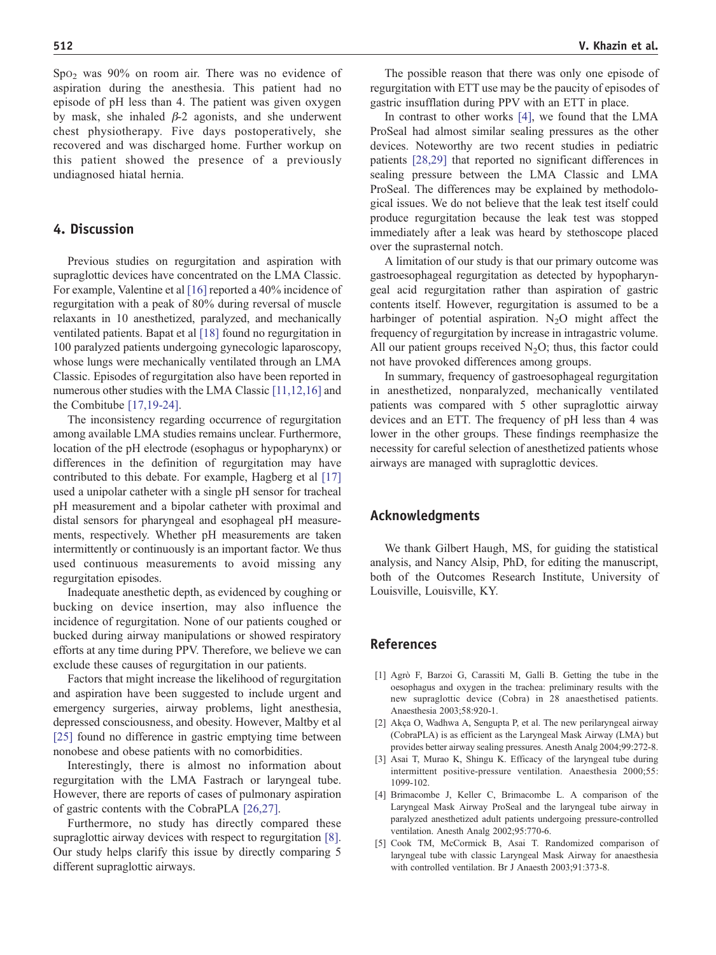$Spo<sub>2</sub>$  was 90% on room air. There was no evidence of aspiration during the anesthesia. This patient had no episode of pH less than 4. The patient was given oxygen by mask, she inhaled  $β-2$  agonists, and she underwent chest physiotherapy. Five days postoperatively, she recovered and was discharged home. Further workup on this patient showed the presence of a previously undiagnosed hiatal hernia.

## 4. Discussion

Previous studies on regurgitation and aspiration with supraglottic devices have concentrated on the LMA Classic. For example, Valentine et al [\[16\]](#page-5-0) reported a 40% incidence of regurgitation with a peak of 80% during reversal of muscle relaxants in 10 anesthetized, paralyzed, and mechanically ventilated patients. Bapat et al [\[18\]](#page-5-0) found no regurgitation in 100 paralyzed patients undergoing gynecologic laparoscopy, whose lungs were mechanically ventilated through an LMA Classic. Episodes of regurgitation also have been reported in numerous other studies with the LMA Classic [\[11,12,16\]](#page-5-0) and the Combitube [\[17,19-24\]](#page-5-0).

The inconsistency regarding occurrence of regurgitation among available LMA studies remains unclear. Furthermore, location of the pH electrode (esophagus or hypopharynx) or differences in the definition of regurgitation may have contributed to this debate. For example, Hagberg et al [\[17\]](#page-5-0) used a unipolar catheter with a single pH sensor for tracheal pH measurement and a bipolar catheter with proximal and distal sensors for pharyngeal and esophageal pH measurements, respectively. Whether pH measurements are taken intermittently or continuously is an important factor. We thus used continuous measurements to avoid missing any regurgitation episodes.

Inadequate anesthetic depth, as evidenced by coughing or bucking on device insertion, may also influence the incidence of regurgitation. None of our patients coughed or bucked during airway manipulations or showed respiratory efforts at any time during PPV. Therefore, we believe we can exclude these causes of regurgitation in our patients.

Factors that might increase the likelihood of regurgitation and aspiration have been suggested to include urgent and emergency surgeries, airway problems, light anesthesia, depressed consciousness, and obesity. However, Maltby et al [\[25\]](#page-5-0) found no difference in gastric emptying time between nonobese and obese patients with no comorbidities.

Interestingly, there is almost no information about regurgitation with the LMA Fastrach or laryngeal tube. However, there are reports of cases of pulmonary aspiration of gastric contents with the CobraPLA [\[26,27\].](#page-5-0)

<span id="page-4-0"></span>Furthermore, no study has directly compared these supraglottic airway devices with respect to regurgitation [\[8\].](#page-5-0) Our study helps clarify this issue by directly comparing 5 different supraglottic airways.

The possible reason that there was only one episode of regurgitation with ETT use may be the paucity of episodes of gastric insufflation during PPV with an ETT in place.

In contrast to other works [\[4\]](#page-4-0), we found that the LMA ProSeal had almost similar sealing pressures as the other devices. Noteworthy are two recent studies in pediatric patients [\[28,29\]](#page-5-0) that reported no significant differences in sealing pressure between the LMA Classic and LMA ProSeal. The differences may be explained by methodological issues. We do not believe that the leak test itself could produce regurgitation because the leak test was stopped immediately after a leak was heard by stethoscope placed over the suprasternal notch.

A limitation of our study is that our primary outcome was gastroesophageal regurgitation as detected by hypopharyngeal acid regurgitation rather than aspiration of gastric contents itself. However, regurgitation is assumed to be a harbinger of potential aspiration.  $N_2O$  might affect the frequency of regurgitation by increase in intragastric volume. All our patient groups received  $N_2O$ ; thus, this factor could not have provoked differences among groups.

In summary, frequency of gastroesophageal regurgitation in anesthetized, nonparalyzed, mechanically ventilated patients was compared with 5 other supraglottic airway devices and an ETT. The frequency of pH less than 4 was lower in the other groups. These findings reemphasize the necessity for careful selection of anesthetized patients whose airways are managed with supraglottic devices.

# Acknowledgments

We thank Gilbert Haugh, MS, for guiding the statistical analysis, and Nancy Alsip, PhD, for editing the manuscript, both of the Outcomes Research Institute, University of Louisville, Louisville, KY.

# References

- [1] Agrò F, Barzoi G, Carassiti M, Galli B. Getting the tube in the oesophagus and oxygen in the trachea: preliminary results with the new supraglottic device (Cobra) in 28 anaesthetised patients. Anaesthesia 2003;58:920-1.
- [2] Akça O, Wadhwa A, Sengupta P, et al. The new perilaryngeal airway (CobraPLA) is as efficient as the Laryngeal Mask Airway (LMA) but provides better airway sealing pressures. Anesth Analg 2004;99:272-8.
- [3] Asai T, Murao K, Shingu K. Efficacy of the laryngeal tube during intermittent positive-pressure ventilation. Anaesthesia 2000;55: 1099-102.
- [4] Brimacombe J, Keller C, Brimacombe L. A comparison of the Laryngeal Mask Airway ProSeal and the laryngeal tube airway in paralyzed anesthetized adult patients undergoing pressure-controlled ventilation. Anesth Analg 2002;95:770-6.
- [5] Cook TM, McCormick B, Asai T. Randomized comparison of laryngeal tube with classic Laryngeal Mask Airway for anaesthesia with controlled ventilation. Br J Anaesth 2003;91:373-8.